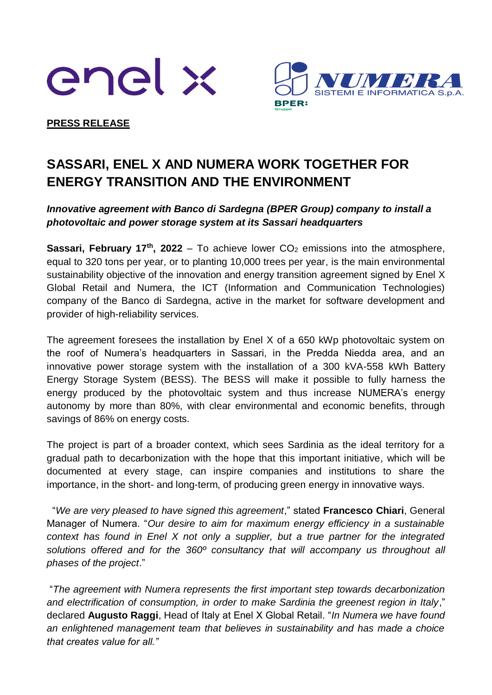



**PRESS RELEASE**

## **SASSARI, ENEL X AND NUMERA WORK TOGETHER FOR ENERGY TRANSITION AND THE ENVIRONMENT**

## *Innovative agreement with Banco di Sardegna (BPER Group) company to install a photovoltaic and power storage system at its Sassari headquarters*

**Sassari, February 17<sup>th</sup>, 2022** – To achieve lower  $CO<sub>2</sub>$  emissions into the atmosphere, equal to 320 tons per year, or to planting 10,000 trees per year, is the main environmental sustainability objective of the innovation and energy transition agreement signed by Enel X Global Retail and Numera, the ICT (Information and Communication Technologies) company of the Banco di Sardegna, active in the market for software development and provider of high-reliability services.

The agreement foresees the installation by Enel X of a 650 kWp photovoltaic system on the roof of Numera's headquarters in Sassari, in the Predda Niedda area, and an innovative power storage system with the installation of a 300 kVA-558 kWh Battery Energy Storage System (BESS). The BESS will make it possible to fully harness the energy produced by the photovoltaic system and thus increase NUMERA's energy autonomy by more than 80%, with clear environmental and economic benefits, through savings of 86% on energy costs.

The project is part of a broader context, which sees Sardinia as the ideal territory for a gradual path to decarbonization with the hope that this important initiative, which will be documented at every stage, can inspire companies and institutions to share the importance, in the short- and long-term, of producing green energy in innovative ways.

"*We are very pleased to have signed this agreement*," stated **Francesco Chiari**, General Manager of Numera. "*Our desire to aim for maximum energy efficiency in a sustainable context has found in Enel X not only a supplier, but a true partner for the integrated solutions offered and for the 360º consultancy that will accompany us throughout all phases of the project*."

"*The agreement with Numera represents the first important step towards decarbonization and electrification of consumption, in order to make Sardinia the greenest region in Italy*," declared **Augusto Raggi**, Head of Italy at Enel X Global Retail. "*In Numera we have found an enlightened management team that believes in sustainability and has made a choice that creates value for all."*